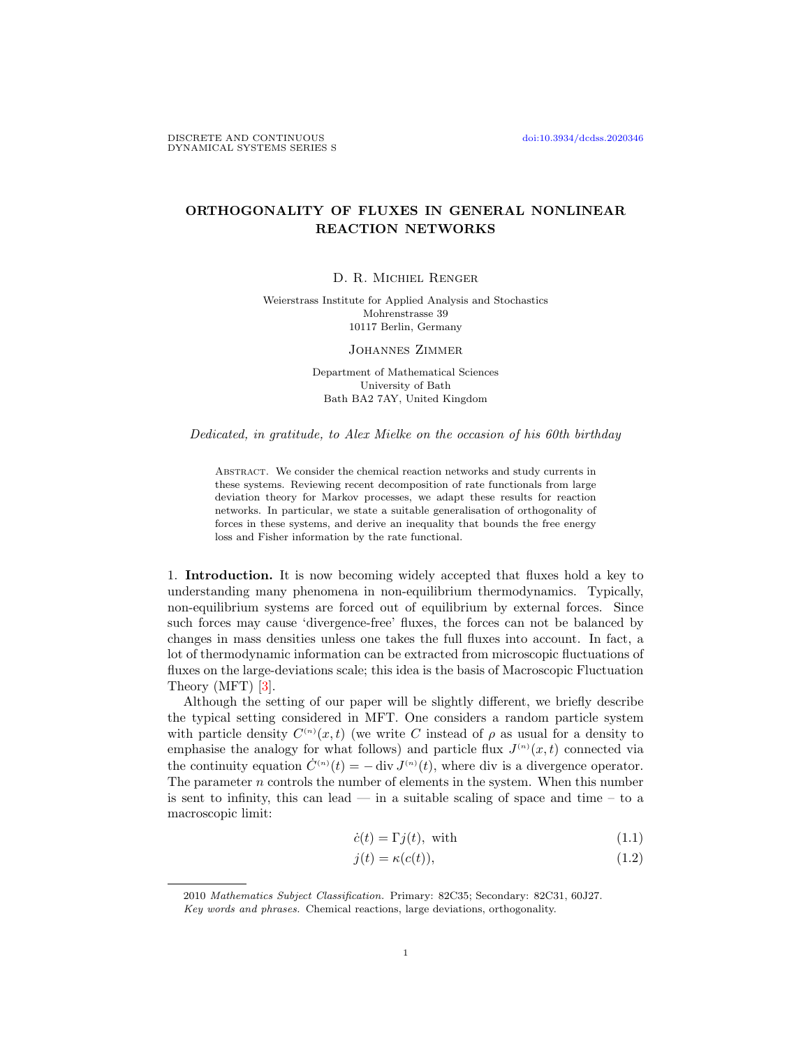## ORTHOGONALITY OF FLUXES IN GENERAL NONLINEAR REACTION NETWORKS

D. R. Michiel Renger

Weierstrass Institute for Applied Analysis and Stochastics Mohrenstrasse 39 10117 Berlin, Germany

Johannes Zimmer

Department of Mathematical Sciences University of Bath Bath BA2 7AY, United Kingdom

Dedicated, in gratitude, to Alex Mielke on the occasion of his 60th birthday

ABSTRACT. We consider the chemical reaction networks and study currents in these systems. Reviewing recent decomposition of rate functionals from large deviation theory for Markov processes, we adapt these results for reaction networks. In particular, we state a suitable generalisation of orthogonality of forces in these systems, and derive an inequality that bounds the free energy loss and Fisher information by the rate functional.

1. Introduction. It is now becoming widely accepted that fluxes hold a key to understanding many phenomena in non-equilibrium thermodynamics. Typically, non-equilibrium systems are forced out of equilibrium by external forces. Since such forces may cause 'divergence-free' fluxes, the forces can not be balanced by changes in mass densities unless one takes the full fluxes into account. In fact, a lot of thermodynamic information can be extracted from microscopic fluctuations of fluxes on the large-deviations scale; this idea is the basis of Macroscopic Fluctuation Theory (MFT) [\[3\]](#page-12-0).

Although the setting of our paper will be slightly different, we briefly describe the typical setting considered in MFT. One considers a random particle system with particle density  $C^{(n)}(x,t)$  (we write C instead of  $\rho$  as usual for a density to emphasise the analogy for what follows) and particle flux  $J^{(n)}(x,t)$  connected via the continuity equation  $\dot{C}^{(n)}(t) = - \text{div } J^{(n)}(t)$ , where div is a divergence operator. The parameter n controls the number of elements in the system. When this number is sent to infinity, this can lead — in a suitable scaling of space and time – to a macroscopic limit:

<span id="page-0-0"></span>
$$
\dot{c}(t) = \Gamma j(t), \text{ with} \tag{1.1}
$$

<span id="page-0-1"></span>
$$
j(t) = \kappa(c(t)),\tag{1.2}
$$

<sup>2010</sup> Mathematics Subject Classification. Primary: 82C35; Secondary: 82C31, 60J27.

Key words and phrases. Chemical reactions, large deviations, orthogonality.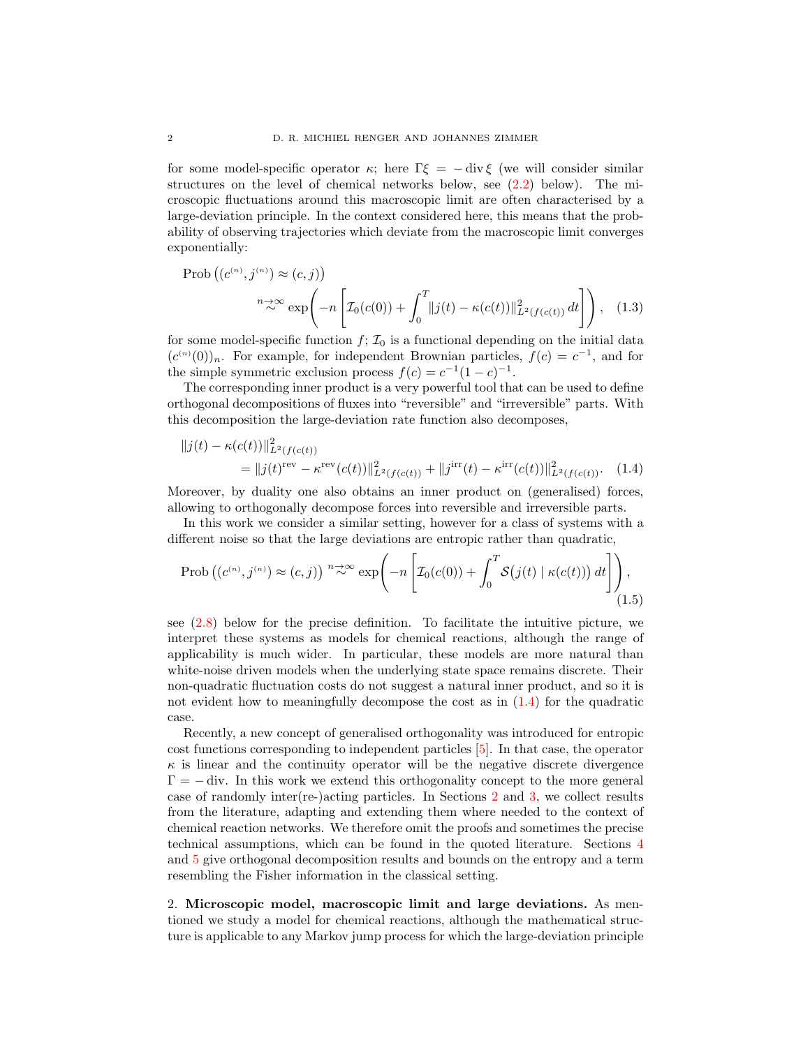for some model-specific operator  $\kappa$ ; here  $\Gamma \xi = - \text{div} \xi$  (we will consider similar structures on the level of chemical networks below, see [\(2.2\)](#page-2-0) below). The microscopic fluctuations around this macroscopic limit are often characterised by a large-deviation principle. In the context considered here, this means that the probability of observing trajectories which deviate from the macroscopic limit converges exponentially:

$$
\text{Prob}\left((c^{(n)}, j^{(n)}) \approx (c, j)\right)
$$
\n
$$
n \to \infty \exp\left(-n \left[\mathcal{I}_0(c(0)) + \int_0^T ||j(t) - \kappa(c(t))||^2_{L^2(f(c(t))} dt\right]\right), \quad (1.3)
$$

for some model-specific function  $f: \mathcal{I}_0$  is a functional depending on the initial data  $(c^{(n)}(0))_n$ . For example, for independent Brownian particles,  $f(c) = c^{-1}$ , and for the simple symmetric exclusion process  $f(c) = c^{-1}(1-c)^{-1}$ .

The corresponding inner product is a very powerful tool that can be used to define orthogonal decompositions of fluxes into "reversible" and "irreversible" parts. With this decomposition the large-deviation rate function also decomposes,

<span id="page-1-0"></span>
$$
||j(t) - \kappa(c(t))||_{L^{2}(f(c(t))}^{2}
$$
  
= 
$$
||j(t)^{\text{rev}} - \kappa^{\text{rev}}(c(t))||_{L^{2}(f(c(t))}^{2} + ||j^{\text{irr}}(t) - \kappa^{\text{irr}}(c(t))||_{L^{2}(f(c(t))}^{2}.
$$
 (1.4)

Moreover, by duality one also obtains an inner product on (generalised) forces, allowing to orthogonally decompose forces into reversible and irreversible parts.

In this work we consider a similar setting, however for a class of systems with a different noise so that the large deviations are entropic rather than quadratic,

<span id="page-1-2"></span>
$$
\text{Prob}\left((c^{(n)}, j^{(n)}) \approx (c, j)\right) \stackrel{n \to \infty}{\sim} \exp\left(-n \left[\mathcal{I}_0(c(0)) + \int_0^T \mathcal{S}\big(j(t) \mid \kappa(c(t))\big) dt\right]\right),\tag{1.5}
$$

see [\(2.8\)](#page-4-0) below for the precise definition. To facilitate the intuitive picture, we interpret these systems as models for chemical reactions, although the range of applicability is much wider. In particular, these models are more natural than white-noise driven models when the underlying state space remains discrete. Their non-quadratic fluctuation costs do not suggest a natural inner product, and so it is not evident how to meaningfully decompose the cost as in  $(1.4)$  for the quadratic case.

Recently, a new concept of generalised orthogonality was introduced for entropic cost functions corresponding to independent particles [\[5\]](#page-12-1). In that case, the operator  $\kappa$  is linear and the continuity operator will be the negative discrete divergence  $\Gamma = -$  div. In this work we extend this orthogonality concept to the more general case of randomly inter(re-)acting particles. In Sections [2](#page-1-1) and [3,](#page-5-0) we collect results from the literature, adapting and extending them where needed to the context of chemical reaction networks. We therefore omit the proofs and sometimes the precise technical assumptions, which can be found in the quoted literature. Sections [4](#page-8-0) and [5](#page-9-0) give orthogonal decomposition results and bounds on the entropy and a term resembling the Fisher information in the classical setting.

<span id="page-1-1"></span>2. Microscopic model, macroscopic limit and large deviations. As mentioned we study a model for chemical reactions, although the mathematical structure is applicable to any Markov jump process for which the large-deviation principle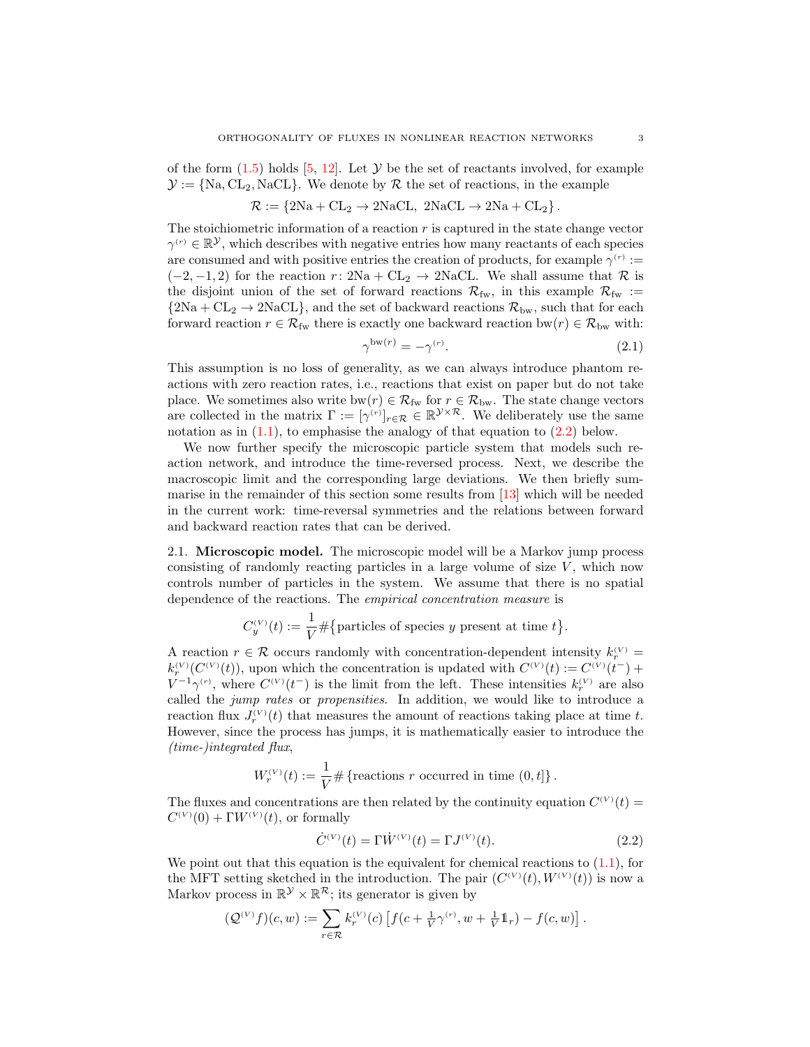of the form  $(1.5)$  holds  $[5, 12]$  $[5, 12]$ . Let  $\mathcal Y$  be the set of reactants involved, for example  $\mathcal{Y} := \{Na, CL_2, NaCL\}$ . We denote by R the set of reactions, in the example

$$
\mathcal{R}:=\left\{2Na+\mathrm{CL}_2\rightarrow2Na\mathrm{CL},\ 2Na\mathrm{CL}\rightarrow2Na+\mathrm{CL}_2\right\}.
$$

The stoichiometric information of a reaction  $r$  is captured in the state change vector  $\gamma^{(r)} \in \mathbb{R}^{\mathcal{Y}}$ , which describes with negative entries how many reactants of each species are consumed and with positive entries the creation of products, for example  $\gamma^{(r)}$  :=  $(-2, -1, 2)$  for the reaction r: 2Na + CL<sub>2</sub>  $\rightarrow$  2NaCL. We shall assume that R is the disjoint union of the set of forward reactions  $\mathcal{R}_{fw}$ , in this example  $\mathcal{R}_{fw}$  :=  ${2Na + CL_2 \rightarrow 2NaCL}$ , and the set of backward reactions  $\mathcal{R}_{bw}$ , such that for each forward reaction  $r \in \mathcal{R}_{fw}$  there is exactly one backward reaction bw $(r) \in \mathcal{R}_{bw}$  with:

<span id="page-2-1"></span>
$$
\gamma^{\mathsf{bw}(r)} = -\gamma^{(r)}.\tag{2.1}
$$

This assumption is no loss of generality, as we can always introduce phantom reactions with zero reaction rates, i.e., reactions that exist on paper but do not take place. We sometimes also write  $bw(r) \in \mathcal{R}_{fw}$  for  $r \in \mathcal{R}_{bw}$ . The state change vectors are collected in the matrix  $\Gamma := [\gamma^{(r)}]_{r \in \mathcal{R}} \in \mathbb{R}^{\mathcal{Y} \times \mathcal{R}}$ . We deliberately use the same notation as in  $(1.1)$ , to emphasise the analogy of that equation to  $(2.2)$  below.

We now further specify the microscopic particle system that models such reaction network, and introduce the time-reversed process. Next, we describe the macroscopic limit and the corresponding large deviations. We then briefly summarise in the remainder of this section some results from [\[13\]](#page-12-3) which will be needed in the current work: time-reversal symmetries and the relations between forward and backward reaction rates that can be derived.

2.1. Microscopic model. The microscopic model will be a Markov jump process consisting of randomly reacting particles in a large volume of size  $V$ , which now controls number of particles in the system. We assume that there is no spatial dependence of the reactions. The empirical concentration measure is

$$
C_y^{(V)}(t) := \frac{1}{V} \# \{ \text{particles of species } y \text{ present at time } t \}.
$$

A reaction  $r \in \mathcal{R}$  occurs randomly with concentration-dependent intensity  $k_r^{(V)}$  =  $k_r^{(V)}(C^{(V)}(t))$ , upon which the concentration is updated with  $C^{(V)}(t) := C^{(V)}(t^-) +$  $V^{-1}\gamma^{(r)}$ , where  $C^{(V)}(t^-)$  is the limit from the left. These intensities  $k_r^{(V)}$  are also called the *jump rates* or *propensities*. In addition, we would like to introduce a reaction flux  $J_r^{(V)}(t)$  that measures the amount of reactions taking place at time t. However, since the process has jumps, it is mathematically easier to introduce the (time-)integrated flux,

$$
W_r^{(V)}(t) := \frac{1}{V} \# \{ \text{reactions } r \text{ occurred in time } (0, t] \}.
$$

The fluxes and concentrations are then related by the continuity equation  $C^{(V)}(t)$  $C^{(V)}(0) + \Gamma W^{(V)}(t)$ , or formally

<span id="page-2-0"></span>
$$
\dot{C}^{(V)}(t) = \Gamma \dot{W}^{(V)}(t) = \Gamma J^{(V)}(t). \tag{2.2}
$$

We point out that this equation is the equivalent for chemical reactions to  $(1.1)$ , for the MFT setting sketched in the introduction. The pair  $(C^{(V)}(t), W^{(V)}(t))$  is now a Markov process in  $\mathbb{R}^{\mathcal{Y}} \times \mathbb{R}^{\mathcal{R}}$ ; its generator is given by

$$
(\mathcal{Q}^{(V)}f)(c,w) := \sum_{r \in \mathcal{R}} k_r^{(V)}(c) \left[ f(c + \frac{1}{V} \gamma^{(r)}, w + \frac{1}{V} 1\!\!1_r) - f(c, w) \right].
$$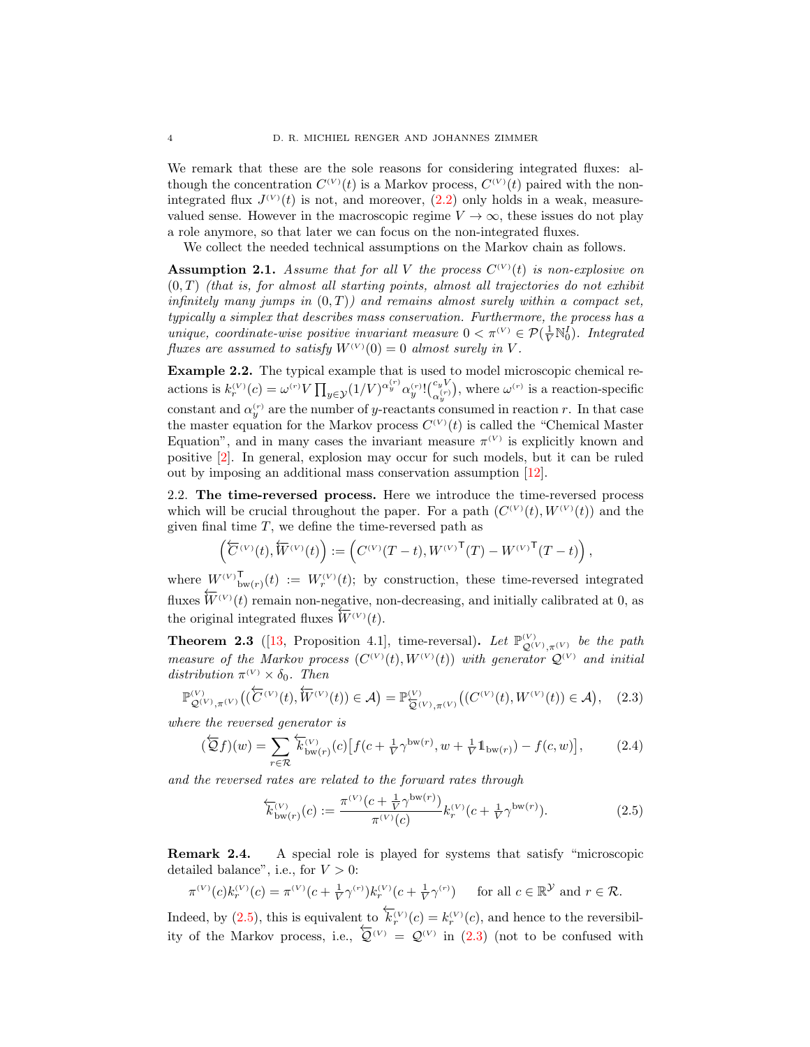We remark that these are the sole reasons for considering integrated fluxes: although the concentration  $C^{(V)}(t)$  is a Markov process,  $C^{(V)}(t)$  paired with the nonintegrated flux  $J^{(V)}(t)$  is not, and moreover,  $(2.2)$  only holds in a weak, measurevalued sense. However in the macroscopic regime  $V \to \infty$ , these issues do not play a role anymore, so that later we can focus on the non-integrated fluxes.

We collect the needed technical assumptions on the Markov chain as follows.

<span id="page-3-2"></span>**Assumption 2.1.** Assume that for all V the process  $C^{(V)}(t)$  is non-explosive on  $(0, T)$  (that is, for almost all starting points, almost all trajectories do not exhibit infinitely many jumps in  $(0, T)$ ) and remains almost surely within a compact set, typically a simplex that describes mass conservation. Furthermore, the process has a unique, coordinate-wise positive invariant measure  $0 < \pi^{(V)} \in \mathcal{P}(\frac{1}{V} \mathbb{N}_0^I)$ . Integrated fluxes are assumed to satisfy  $W^{(V)}(0) = 0$  almost surely in V.

<span id="page-3-3"></span>Example 2.2. The typical example that is used to model microscopic chemical reactions is  $k_r^{(V)}(c) = \omega^{(r)} V \prod_{y \in \mathcal{Y}} (1/V)^{\alpha_y^{(r)}} \alpha_y^{(r)}! {c_y^{(r)} \choose \alpha_y^{(r)}},$  where  $\omega^{(r)}$  is a reaction-specific constant and  $\alpha_y^{(r)}$  are the number of y-reactants consumed in reaction r. In that case the master equation for the Markov process  $C^{(V)}(t)$  is called the "Chemical Master" Equation", and in many cases the invariant measure  $\pi^{(V)}$  is explicitly known and positive [\[2\]](#page-12-4). In general, explosion may occur for such models, but it can be ruled out by imposing an additional mass conservation assumption [\[12\]](#page-12-2).

<span id="page-3-5"></span>2.2. The time-reversed process. Here we introduce the time-reversed process which will be crucial throughout the paper. For a path  $(C^{(V)}(t), W^{(V)}(t))$  and the given final time  $T$ , we define the time-reversed path as

$$
\left(\overleftarrow{C}^{(V)}(t),\overleftarrow{W}^{(V)}(t)\right):=\left(C^{(V)}(T-t),{W^{(V)}}^\mathsf{T}(T)-{W^{(V)}}^\mathsf{T}(T-t)\right),
$$

where  $W^{(V)}{}_{\text{bw}(r)}^{\text{T}}(t) := W^{(V)}_r(t);$  by construction, these time-reversed integrated fluxes  $\overleftarrow{W}^{(V)}(t)$  remain non-negative, non-decreasing, and initially calibrated at 0, as the original integrated fluxes  $\widetilde{W}^{(V)}(t)$ .

**Theorem 2.3** ([\[13,](#page-12-3) Proposition 4.1], time-reversal). Let  $\mathbb{P}_{\mathcal{Q}^{(V)}, \pi^{(V)}}^{(V)}$  be the path measure of the Markov process  $(C^{(V)}(t), W^{(V)}(t))$  with generator  $\mathcal{Q}^{(V)}$  and initial distribution  $\pi^{(V)} \times \delta_0$ . Then

<span id="page-3-1"></span>
$$
\mathbb{P}^{(V)}_{\mathcal{Q}^{(V)},\pi^{(V)}}\big((\overleftarrow{C}^{(V)}(t),\overleftarrow{W}^{(V)}(t))\in\mathcal{A}\big)=\mathbb{P}^{(V)}_{\overleftarrow{\mathcal{Q}}^{(V)},\pi^{(V)}}\big((C^{(V)}(t),W^{(V)}(t))\in\mathcal{A}\big),\quad(2.3)
$$

where the reversed generator is

$$
\left(\overleftarrow{Q}f\right)(w) = \sum_{r \in \mathcal{R}} \overleftarrow{k}_{\text{bw}(r)}^{(V)}(c) \left[ f(c + \frac{1}{V} \gamma^{\text{bw}(r)}, w + \frac{1}{V} \mathbb{1}_{\text{bw}(r)}) - f(c, w) \right],\tag{2.4}
$$

and the reversed rates are related to the forward rates through

<span id="page-3-0"></span>
$$
\overleftarrow{k}_{\text{bw}(r)}^{(V)}(c) := \frac{\pi^{(V)}(c + \frac{1}{V}\gamma^{\text{bw}(r)})}{\pi^{(V)}(c)} k_r^{(V)}(c + \frac{1}{V}\gamma^{\text{bw}(r)}).
$$
(2.5)

<span id="page-3-4"></span>Remark 2.4. A special role is played for systems that satisfy "microscopic detailed balance", i.e., for  $V > 0$ :

$$
\pi^{(V)}(c)k_r^{(V)}(c) = \pi^{(V)}(c + \frac{1}{V}\gamma^{(r)})k_r^{(V)}(c + \frac{1}{V}\gamma^{(r)}) \quad \text{ for all } c \in \mathbb{R}^{\mathcal{Y}} \text{ and } r \in \mathcal{R}.
$$

Indeed, by [\(2.5\)](#page-3-0), this is equivalent to  $\overleftarrow{k}_r^{(V)}(c) = k_r^{(V)}(c)$ , and hence to the reversibility of the Markov process, i.e.,  $Q^{(V)} = Q^{(V)}$  in [\(2.3\)](#page-3-1) (not to be confused with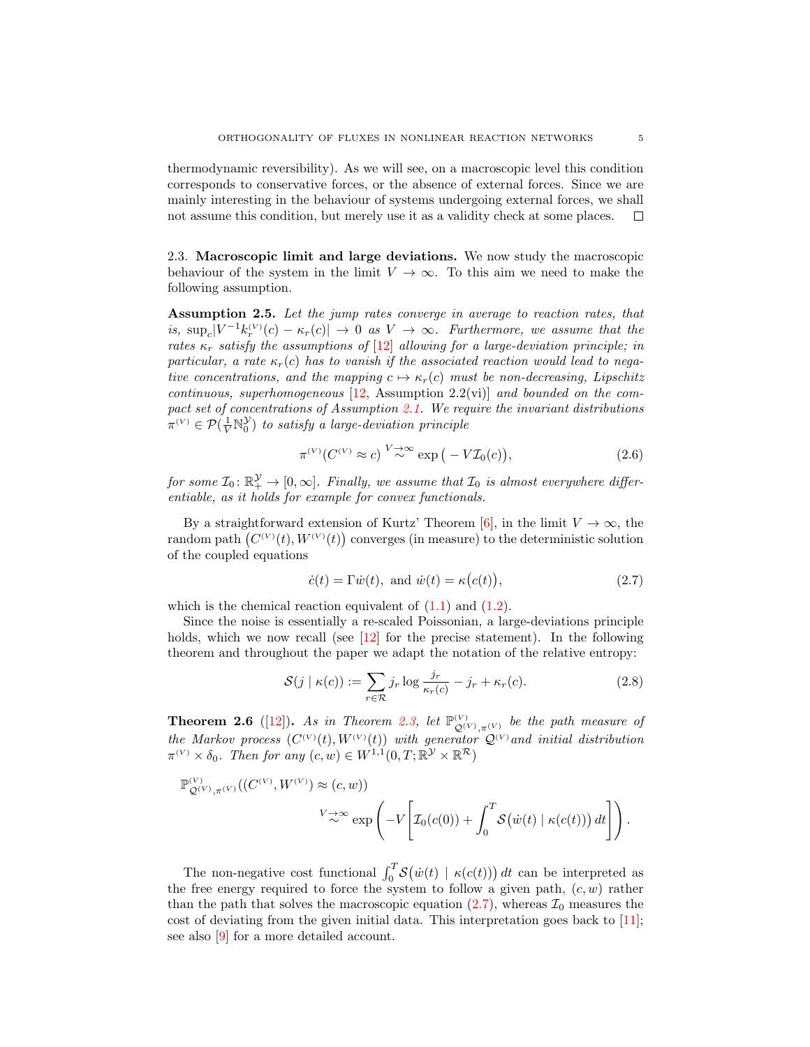thermodynamic reversibility). As we will see, on a macroscopic level this condition corresponds to conservative forces, or the absence of external forces. Since we are mainly interesting in the behaviour of systems undergoing external forces, we shall not assume this condition, but merely use it as a validity check at some places.  $\Box$ 

2.3. Macroscopic limit and large deviations. We now study the macroscopic behaviour of the system in the limit  $V \to \infty$ . To this aim we need to make the following assumption.

Assumption 2.5. Let the jump rates converge in average to reaction rates, that is,  $\sup_c |V^{-1}k_r^{(V)}(c) - \kappa_r(c)| \to 0$  as  $V \to \infty$ . Furthermore, we assume that the rates  $\kappa_r$  satisfy the assumptions of [\[12\]](#page-12-2) allowing for a large-deviation principle; in particular, a rate  $\kappa_r(c)$  has to vanish if the associated reaction would lead to negative concentrations, and the mapping  $c \mapsto \kappa_r(c)$  must be non-decreasing, Lipschitz continuous, superhomogeneous  $[12,$  Assumption 2.2(vi)] and bounded on the compact set of concentrations of Assumption [2.1.](#page-3-2) We require the invariant distributions  $\pi^{(V)} \in \mathcal{P}(\frac{1}{V} \mathbb{N}_0^{\mathcal{Y}})$  to satisfy a large-deviation principle

<span id="page-4-3"></span>
$$
\pi^{(V)}(C^{(V)} \approx c) \stackrel{V \to \infty}{\sim} \exp(-V\mathcal{I}_0(c)),\tag{2.6}
$$

for some  $\mathcal{I}_0: \mathbb{R}_+^{\mathcal{Y}} \to [0, \infty]$ . Finally, we assume that  $\mathcal{I}_0$  is almost everywhere differentiable, as it holds for example for convex functionals.

By a straightforward extension of Kurtz' Theorem [\[6\]](#page-12-5), in the limit  $V \to \infty$ , the random path  $(C^{(V)}(t), W^{(V)}(t))$  converges (in measure) to the deterministic solution of the coupled equations

<span id="page-4-1"></span>
$$
\dot{c}(t) = \Gamma \dot{w}(t), \text{ and } \dot{w}(t) = \kappa (c(t)), \qquad (2.7)
$$

which is the chemical reaction equivalent of  $(1.1)$  and  $(1.2)$ .

Since the noise is essentially a re-scaled Poissonian, a large-deviations principle holds, which we now recall (see  $\lceil 12 \rceil$  for the precise statement). In the following theorem and throughout the paper we adapt the notation of the relative entropy:

<span id="page-4-0"></span>
$$
\mathcal{S}(j \mid \kappa(c)) := \sum_{r \in \mathcal{R}} j_r \log \frac{j_r}{\kappa_r(c)} - j_r + \kappa_r(c). \tag{2.8}
$$

<span id="page-4-2"></span>**Theorem 2.6** ([\[12\]](#page-12-2)). As in Theorem [2.3,](#page-3-0) let  $\mathbb{P}_{\mathcal{Q}^{(V)}, \pi^{(V)}}^{(V)}$  be the path measure of the Markov process  $(C^{(V)}(t), W^{(V)}(t))$  with generator  $\mathcal{Q}^{(V)}$  and initial distribution  $\pi^{(V)} \times \delta_0$ . Then for any  $(c, w) \in W^{1,1}(0,T; \mathbb{R}^{\mathcal{Y}} \times \mathbb{R}^{\mathcal{R}})$ 

$$
\begin{split} \mathbb{P}^{(V)}_{\mathcal{Q}^{(V)}, \pi^{(V)}}((C^{(V)}, W^{(V)}) &\approx (c, w)) \\ &\qquad \qquad V \underset{\sim}{\rightarrow} \infty \exp\left(-V\left[\mathcal{I}_0(c(0)) + \int_0^T \mathcal{S}\big(\dot{w}(t) \mid \kappa(c(t))\big) \, dt\right]\right). \end{split}
$$

The non-negative cost functional  $\int_0^T S(\dot{w}(t) | \kappa(c(t))) dt$  can be interpreted as the free energy required to force the system to follow a given path,  $(c, w)$  rather than the path that solves the macroscopic equation  $(2.7)$ , whereas  $\mathcal{I}_0$  measures the cost of deviating from the given initial data. This interpretation goes back to [\[11\]](#page-12-6); see also [\[9\]](#page-12-7) for a more detailed account.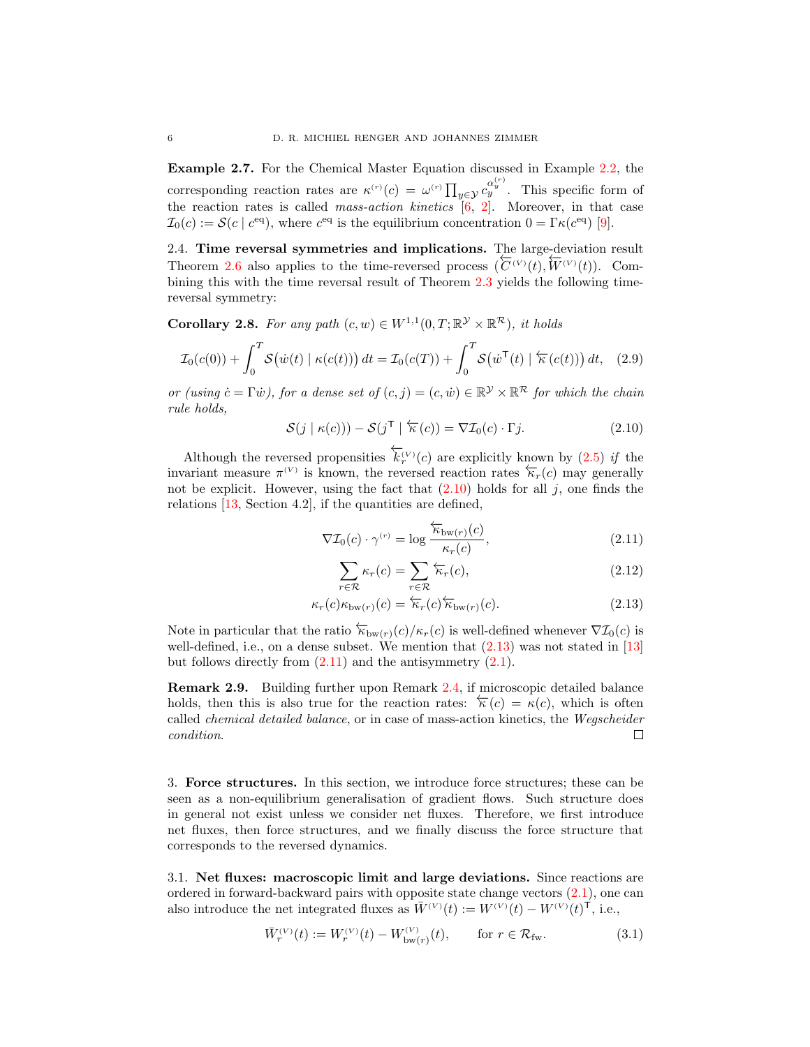Example 2.7. For the Chemical Master Equation discussed in Example [2.2,](#page-3-3) the corresponding reaction rates are  $\kappa^{(r)}(c) = \omega^{(r)} \prod_{y \in \mathcal{Y}} c_y^{(\alpha_y^{(r)})}$ . This specific form of the reaction rates is called *mass-action kinetics*  $[6, 2]$  $[6, 2]$  $[6, 2]$ . Moreover, in that case  $\mathcal{I}_0(c) := \mathcal{S}(c \mid c^{\text{eq}})$ , where  $c^{\text{eq}}$  is the equilibrium concentration  $0 = \Gamma \kappa(c^{\text{eq}})$  [\[9\]](#page-12-7).

<span id="page-5-5"></span>2.4. Time reversal symmetries and implications. The large-deviation result Theorem [2.6](#page-4-2) also applies to the time-reversed process  $(\overline{C}^{(V)}(t), \overline{W}^{(V)}(t))$ . Combining this with the time reversal result of Theorem [2.3](#page-3-0) yields the following timereversal symmetry:

**Corollary 2.8.** For any path  $(c, w) \in W^{1,1}(0, T; \mathbb{R}^{\mathcal{Y}} \times \mathbb{R}^{\mathcal{R}})$ , it holds

$$
\mathcal{I}_0(c(0)) + \int_0^T \mathcal{S}(\dot{w}(t) \mid \kappa(c(t))) dt = \mathcal{I}_0(c(T)) + \int_0^T \mathcal{S}(\dot{w}^\mathsf{T}(t) \mid \overleftarrow{\kappa}(c(t))) dt, \quad (2.9)
$$

or (using  $\dot{c} = \Gamma \dot{w}$ ), for a dense set of  $(c, j) = (c, \dot{w}) \in \mathbb{R}^{\mathcal{Y}} \times \mathbb{R}^{\mathcal{R}}$  for which the chain rule holds,

<span id="page-5-1"></span>
$$
S(j \mid \kappa(c))) - S(j^{\mathsf{T}} \mid \overleftarrow{\kappa}(c)) = \nabla \mathcal{I}_0(c) \cdot \Gamma j. \tag{2.10}
$$

Although the reversed propensities  $\overleftarrow{k}_r^{(V)}(c)$  are explicitly known by [\(2.5\)](#page-3-0) if the invariant measure  $\pi^{(V)}$  is known, the reversed reaction rates  $\kappa_r(c)$  may generally not be explicit. However, using the fact that  $(2.10)$  holds for all j, one finds the relations [\[13,](#page-12-3) Section 4.2], if the quantities are defined,

$$
\nabla \mathcal{I}_0(c) \cdot \gamma^{(r)} = \log \frac{\overleftarrow{\kappa}_{\text{bw}(r)}(c)}{\kappa_r(c)},\tag{2.11}
$$

<span id="page-5-7"></span><span id="page-5-3"></span><span id="page-5-2"></span>
$$
\sum_{r \in \mathcal{R}} \kappa_r(c) = \sum_{r \in \mathcal{R}} \overleftarrow{\kappa}_r(c),\tag{2.12}
$$

$$
\kappa_r(c)\kappa_{\text{bw}(r)}(c) = \overleftarrow{\kappa}_r(c)\overleftarrow{\kappa}_{\text{bw}(r)}(c). \tag{2.13}
$$

Note in particular that the ratio  $\overleftarrow{\kappa}_{bw(r)}(c)/\kappa_r(c)$  is well-defined whenever  $\nabla \mathcal{I}_0(c)$  is well-defined, i.e., on a dense subset. We mention that  $(2.13)$  was not stated in [\[13\]](#page-12-3) but follows directly from  $(2.11)$  and the antisymmetry  $(2.1)$ .

<span id="page-5-4"></span>Remark 2.9. Building further upon Remark [2.4,](#page-3-4) if microscopic detailed balance holds, then this is also true for the reaction rates:  $\overleftarrow{\kappa}(c) = \kappa(c)$ , which is often called chemical detailed balance, or in case of mass-action kinetics, the Wegscheider condition. П

<span id="page-5-0"></span>3. Force structures. In this section, we introduce force structures; these can be seen as a non-equilibrium generalisation of gradient flows. Such structure does in general not exist unless we consider net fluxes. Therefore, we first introduce net fluxes, then force structures, and we finally discuss the force structure that corresponds to the reversed dynamics.

3.1. Net fluxes: macroscopic limit and large deviations. Since reactions are ordered in forward-backward pairs with opposite state change vectors [\(2.1\)](#page-2-1), one can also introduce the net integrated fluxes as  $\overline{W}^{(V)}(t) := W^{(V)}(t) - W^{(V)}(t)^{\dagger}$ , i.e.,

<span id="page-5-6"></span>
$$
\bar{W}_r^{(V)}(t) := W_r^{(V)}(t) - W_{\text{bw}(r)}^{(V)}(t), \qquad \text{for } r \in \mathcal{R}_{\text{fw}}.\tag{3.1}
$$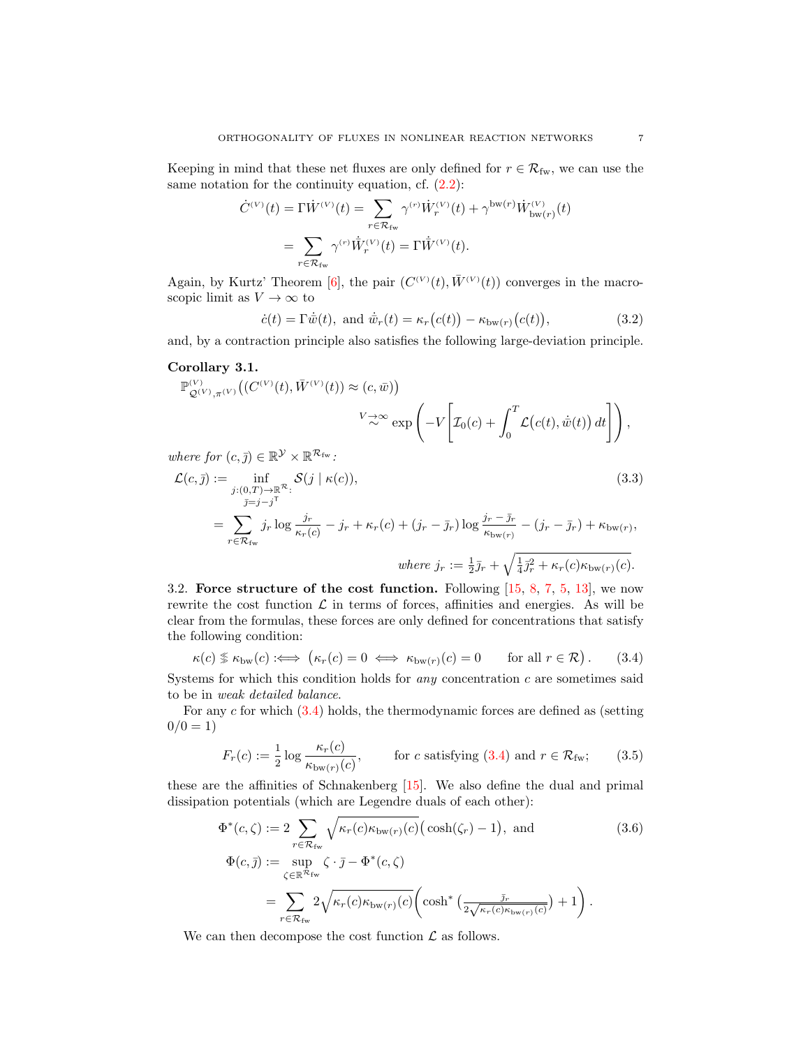Keeping in mind that these net fluxes are only defined for  $r \in \mathcal{R}_{fw}$ , we can use the same notation for the continuity equation, cf.  $(2.2)$ :

$$
\dot{C}^{(V)}(t) = \Gamma \dot{W}^{(V)}(t) = \sum_{r \in \mathcal{R}_{\text{fw}}} \gamma^{(r)} \dot{W}_r^{(V)}(t) + \gamma^{\text{bw}(r)} \dot{W}_{\text{bw}(r)}^{(V)}(t)
$$
\n
$$
= \sum_{r \in \mathcal{R}_{\text{fw}}} \gamma^{(r)} \dot{\bar{W}}_r^{(V)}(t) = \Gamma \dot{\bar{W}}^{(V)}(t).
$$

Again, by Kurtz' Theorem [\[6\]](#page-12-5), the pair  $(C^{(V)}(t), \bar{W}^{(V)}(t))$  converges in the macroscopic limit as  $V \to \infty$  to

<span id="page-6-1"></span>
$$
\dot{c}(t) = \Gamma \dot{\overline{w}}(t), \text{ and } \dot{\overline{w}}_r(t) = \kappa_r (c(t)) - \kappa_{\text{bw}(r)} (c(t)), \qquad (3.2)
$$

and, by a contraction principle also satisfies the following large-deviation principle.

## <span id="page-6-3"></span>Corollary 3.1.

$$
\mathbb{P}_{\mathcal{Q}^{(V)},\pi^{(V)}}^{\mathcal{Q}^{(V)}}\big((C^{(V)}(t),\bar{W}^{(V)}(t))\approx(c,\bar{w})\big) \n\quad \ \ \, \nabla \rightarrow \infty \exp\left(-V\left[\mathcal{I}_0(c) + \int_0^T \mathcal{L}\big(c(t),\dot{\bar{w}}(t)\big) dt\right]\right),
$$

where for  $(c, \bar{j}) \in \mathbb{R}^{\mathcal{Y}} \times \mathbb{R}^{\mathcal{R}_{\text{fw}}}.$ 

$$
\mathcal{L}(c,\bar{y}) := \inf_{\substack{j:(0,T)\to\mathbb{R}^{\mathcal{R}}:\\ \bar{y}=j-j^{\mathcal{T}}}}} \mathcal{S}(j \mid \kappa(c)),
$$
\n(3.3)\n
$$
= \sum_{r \in \mathcal{R}_{fw}} j_r \log \frac{j_r}{\kappa_r(c)} - j_r + \kappa_r(c) + (j_r - \bar{j}_r) \log \frac{j_r - \bar{j}_r}{\kappa_{bw(r)}} - (j_r - \bar{j}_r) + \kappa_{bw(r)},
$$
\nwhere  $j_r := \frac{1}{2}\bar{j}_r + \sqrt{\frac{1}{4}\bar{j}_r^2 + \kappa_r(c)\kappa_{bw(r)}(c)}$ .

3.2. Force structure of the cost function. Following [\[15,](#page-12-8) [8,](#page-12-9) [7,](#page-12-10) [5,](#page-12-1) [13\]](#page-12-3), we now rewrite the cost function  $\mathcal L$  in terms of forces, affinities and energies. As will be clear from the formulas, these forces are only defined for concentrations that satisfy the following condition:

<span id="page-6-0"></span>κ(c) κbw(c) :⇐⇒ κr(c) = 0 ⇐⇒ κbw(r)(c) = 0 for all r ∈ R . (3.4)

Systems for which this condition holds for *any* concentration  $c$  are sometimes said to be in weak detailed balance.

For any c for which [\(3.4\)](#page-6-0) holds, the thermodynamic forces are defined as (setting  $0/0 = 1$ 

<span id="page-6-2"></span>
$$
F_r(c) := \frac{1}{2} \log \frac{\kappa_r(c)}{\kappa_{\text{bw}(r)}(c)}, \qquad \text{for } c \text{ satisfying (3.4) and } r \in \mathcal{R}_{\text{fw}}; \tag{3.5}
$$

these are the affinities of Schnakenberg [\[15\]](#page-12-8). We also define the dual and primal dissipation potentials (which are Legendre duals of each other):

<span id="page-6-4"></span>
$$
\Phi^*(c,\zeta) := 2 \sum_{r \in \mathcal{R}_{\text{fw}}} \sqrt{\kappa_r(c)\kappa_{\text{bw}(r)}(c)} \big(\cosh(\zeta_r) - 1\big), \text{ and}
$$
\n
$$
\Phi(c,\bar{j}) := \sup_{\zeta \in \mathbb{R}^{\mathcal{R}_{\text{fw}}}} \zeta \cdot \bar{j} - \Phi^*(c,\zeta)
$$
\n
$$
= \sum_{r \in \mathcal{R}_{\text{fw}}} 2\sqrt{\kappa_r(c)\kappa_{\text{bw}(r)}(c)} \bigg(\cosh^*\left(\frac{\bar{j}_r}{2\sqrt{\kappa_r(c)\kappa_{\text{bw}(r)}(c)}}\right) + 1\bigg).
$$
\n(3.6)

We can then decompose the cost function  $\mathcal L$  as follows.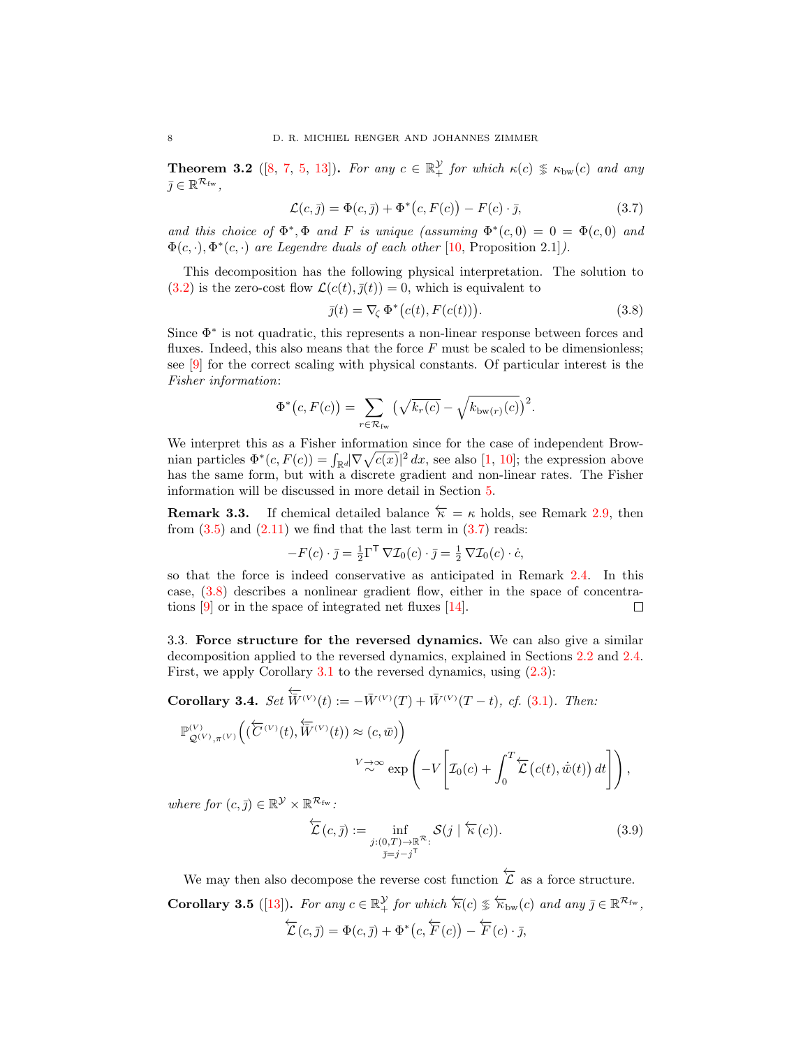**Theorem 3.2** ([\[8,](#page-12-9) [7,](#page-12-10) [5,](#page-12-1) [13\]](#page-12-3)). For any  $c \in \mathbb{R}^{\mathcal{Y}}_+$  for which  $\kappa(c) \n\leq \kappa_{bw}(c)$  and any  $\bar{j} \in \mathbb{R}^{\mathcal{R}_{\text{fw}}},$ 

$$
\mathcal{L}(c,\bar{y}) = \Phi(c,\bar{y}) + \Phi^*(c, F(c)) - F(c) \cdot \bar{y},\tag{3.7}
$$

and this choice of  $\Phi^*, \Phi$  and F is unique (assuming  $\Phi^*(c,0) = 0 = \Phi(c,0)$  and  $\Phi(c, \cdot), \Phi^*(c, \cdot)$  are Legendre duals of each other [\[10,](#page-12-11) Proposition 2.1]).

This decomposition has the following physical interpretation. The solution to [\(3.2\)](#page-6-1) is the zero-cost flow  $\mathcal{L}(c(t), \overline{j}(t)) = 0$ , which is equivalent to

<span id="page-7-1"></span><span id="page-7-0"></span>
$$
\bar{j}(t) = \nabla_{\zeta} \Phi^*(c(t), F(c(t))). \qquad (3.8)
$$

Since Φ<sup>∗</sup> is not quadratic, this represents a non-linear response between forces and fluxes. Indeed, this also means that the force  $F$  must be scaled to be dimensionless; see [\[9\]](#page-12-7) for the correct scaling with physical constants. Of particular interest is the Fisher information:

$$
\Phi^*(c, F(c)) = \sum_{r \in \mathcal{R}_{\text{fw}}} \left( \sqrt{k_r(c)} - \sqrt{k_{\text{bw}(r)}(c)} \right)^2.
$$

We interpret this as a Fisher information since for the case of independent Brownian particles  $\Phi^*(c, F(c)) = \int_{\mathbb{R}^d} |\nabla \sqrt{c(x)}|^2 dx$ , see also [\[1,](#page-12-12) [10\]](#page-12-11); the expression above has the same form, but with a discrete gradient and non-linear rates. The Fisher information will be discussed in more detail in Section [5.](#page-9-0)

<span id="page-7-2"></span>**Remark 3.3.** If chemical detailed balance  $\overleftarrow{\kappa} = \kappa$  holds, see Remark [2.9,](#page-5-4) then from  $(3.5)$  and  $(2.11)$  we find that the last term in  $(3.7)$  reads:

$$
-F(c) \cdot \bar{j} = \frac{1}{2} \Gamma^{\mathsf{T}} \nabla \mathcal{I}_0(c) \cdot \bar{j} = \frac{1}{2} \nabla \mathcal{I}_0(c) \cdot \dot{c},
$$

so that the force is indeed conservative as anticipated in Remark [2.4.](#page-3-4) In this case, [\(3.8\)](#page-7-1) describes a nonlinear gradient flow, either in the space of concentrations  $[9]$  or in the space of integrated net fluxes  $[14]$ . □

3.3. Force structure for the reversed dynamics. We can also give a similar decomposition applied to the reversed dynamics, explained in Sections [2.2](#page-3-5) and [2.4.](#page-5-5) First, we apply Corollary [3.1](#page-6-3) to the reversed dynamics, using [\(2.3\)](#page-3-1):

Corollary 3.4. Set  $\overleftarrow{\overline{W}}^{(V)}(t) := -\overline{W}^{(V)}(T) + \overline{W}^{(V)}(T-t)$ , cf. [\(3.1\)](#page-5-6). Then:

$$
\begin{split} \mathbb{P}^{\left( V \right)}_{\mathcal{Q}^{\left( V \right)},\pi^{\left( V \right)}} \Big( \big( \overleftarrow{C}^{\left( V \right)}(t), \overleftarrow{W}^{\left( V \right)}(t) \big) &\approx \left( c, \bar{w} \right) \Big) \\ &\quad \ \ \, \nabla \!\!\! \right. \! \approx \! \exp \left( - V \Bigg[ \mathcal{I}_0 (c) + \int_0^T \! \overleftarrow{\mathcal{L}} \left( c(t), \dot{\bar{w}}(t) \right) dt \Bigg] \right), \end{split}
$$

where for  $(c, \bar{j}) \in \mathbb{R}^{\mathcal{Y}} \times \mathbb{R}^{\mathcal{R}_{\text{fw}}}.$ 

$$
\overleftarrow{\mathcal{L}}(c,\overline{j}) := \inf_{\substack{j:(0,T)\to\mathbb{R}^{\mathcal{R}}:\\ \overline{j}=j-j^{\mathsf{T}}}} \mathcal{S}(j \mid \overleftarrow{\kappa}(c)).
$$
\n(3.9)

We may then also decompose the reverse cost function  $\overleftarrow{\mathcal{L}}$  as a force structure. **Corollary 3.5** ([\[13\]](#page-12-3)). For any  $c \in \mathbb{R}^{\mathcal{Y}}_+$  for which  $\overleftarrow{\kappa}(c) \leq \overleftarrow{\kappa}_{bw}(c)$  and any  $\overline{\jmath} \in \mathbb{R}^{\mathcal{R}_{fw}}$ ,  $\overleftarrow{\mathcal{L}}(c,\overline{j}) = \Phi(c,\overline{j}) + \Phi^*(c,\overleftarrow{F}(c)) - \overleftarrow{F}(c) \cdot \overline{j},$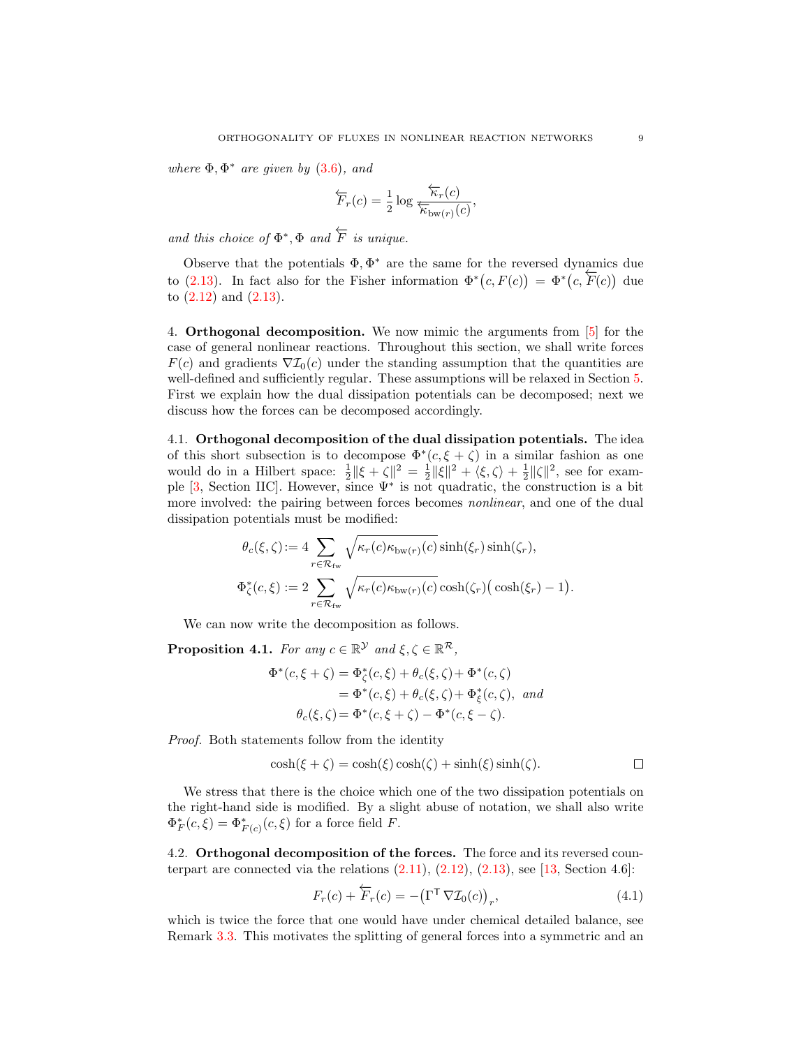where  $\Phi$ ,  $\Phi^*$  are given by [\(3.6\)](#page-6-4), and

$$
\overleftarrow{F}_r(c) = \frac{1}{2} \log \frac{\overleftarrow{\kappa}_r(c)}{\overleftarrow{\kappa}_{\text{bw}(r)}(c)},
$$

and this choice of  $\Phi^*, \Phi$  and  $\overleftarrow{F}$  is unique.

Observe that the potentials  $\Phi, \Phi^*$  are the same for the reversed dynamics due boset to that the potentials 1, 1 are the same for the reversed dynamics due<br>to [\(2.13\)](#page-5-2). In fact also for the Fisher information  $\Phi^*(c, F(c)) = \Phi^*(c, \overline{F}(c))$  due to [\(2.12\)](#page-5-7) and [\(2.13\)](#page-5-2).

<span id="page-8-0"></span>4. Orthogonal decomposition. We now mimic the arguments from [\[5\]](#page-12-1) for the case of general nonlinear reactions. Throughout this section, we shall write forces  $F(c)$  and gradients  $\nabla \mathcal{I}_0(c)$  under the standing assumption that the quantities are well-defined and sufficiently regular. These assumptions will be relaxed in Section [5.](#page-9-0) First we explain how the dual dissipation potentials can be decomposed; next we discuss how the forces can be decomposed accordingly.

4.1. Orthogonal decomposition of the dual dissipation potentials. The idea of this short subsection is to decompose  $\Phi^*(c,\xi+\zeta)$  in a similar fashion as one would do in a Hilbert space:  $\frac{1}{2} \|\xi + \zeta\|^2 = \frac{1}{2} \|\xi\|^2 + \langle \xi, \zeta \rangle + \frac{1}{2} \|\zeta\|^2$ , see for example  $[3, \text{Section IIC}]$ . However, since  $\Psi^*$  is not quadratic, the construction is a bit more involved: the pairing between forces becomes *nonlinear*, and one of the dual dissipation potentials must be modified:

$$
\theta_c(\xi, \zeta) := 4 \sum_{r \in \mathcal{R}_{\text{fw}}} \sqrt{\kappa_r(c) \kappa_{\text{bw}(r)}(c)} \sinh(\xi_r) \sinh(\zeta_r),
$$
  

$$
\Phi_{\zeta}^*(c, \xi) := 2 \sum_{r \in \mathcal{R}_{\text{fw}}} \sqrt{\kappa_r(c) \kappa_{\text{bw}(r)}(c)} \cosh(\zeta_r) \left(\cosh(\xi_r) - 1\right).
$$

We can now write the decomposition as follows.

<span id="page-8-1"></span>**Proposition 4.1.** For any  $c \in \mathbb{R}^{\mathcal{Y}}$  and  $\xi, \zeta \in \mathbb{R}^{\mathcal{R}}$ ,

$$
\Phi^*(c,\xi+\zeta) = \Phi^*_{\zeta}(c,\xi) + \theta_c(\xi,\zeta) + \Phi^*(c,\zeta)
$$
  
= 
$$
\Phi^*(c,\xi) + \theta_c(\xi,\zeta) + \Phi^*_{\xi}(c,\zeta), \text{ and}
$$
  

$$
\theta_c(\xi,\zeta) = \Phi^*(c,\xi+\zeta) - \Phi^*(c,\xi-\zeta).
$$

Proof. Both statements follow from the identity

$$
\cosh(\xi + \zeta) = \cosh(\xi)\cosh(\zeta) + \sinh(\xi)\sinh(\zeta). \qquad \Box
$$

We stress that there is the choice which one of the two dissipation potentials on the right-hand side is modified. By a slight abuse of notation, we shall also write  $\Phi_F^*(c,\xi) = \Phi_{F(c)}^*(c,\xi)$  for a force field F.

4.2. Orthogonal decomposition of the forces. The force and its reversed counterpart are connected via the relations  $(2.11)$ ,  $(2.12)$ ,  $(2.13)$ , see [\[13,](#page-12-3) Section 4.6]:

$$
F_r(c) + \overleftarrow{F}_r(c) = -(\Gamma^{\mathsf{T}} \nabla \mathcal{I}_0(c))_r, \tag{4.1}
$$

which is twice the force that one would have under chemical detailed balance, see Remark [3.3.](#page-7-2) This motivates the splitting of general forces into a symmetric and an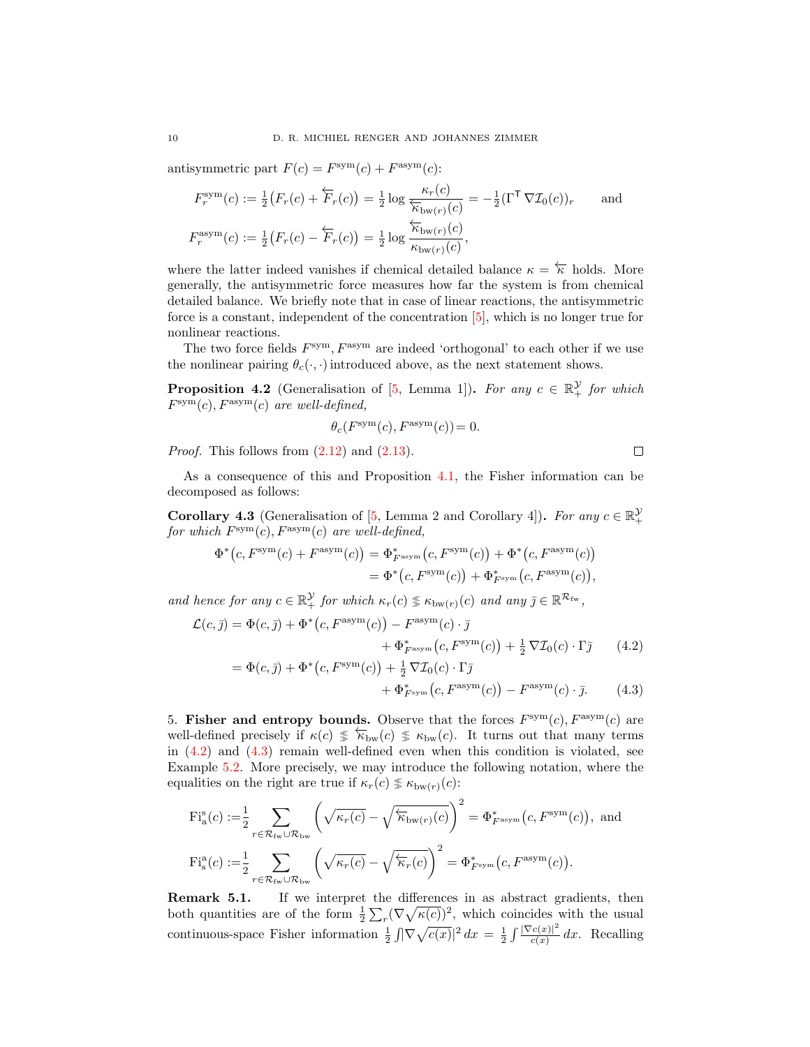antisymmetric part  $F(c) = F<sup>sym</sup>(c) + F<sup>asym</sup>(c)$ :

$$
F_r^{\text{sym}}(c) := \frac{1}{2} \big( F_r(c) + \overleftarrow{F}_r(c) \big) = \frac{1}{2} \log \frac{\kappa_r(c)}{\overleftarrow{\kappa}_{\text{bw}(r)}(c)} = -\frac{1}{2} (\Gamma^{\mathsf{T}} \nabla \mathcal{I}_0(c))_r \quad \text{and}
$$

$$
F_r^{\text{asym}}(c) := \frac{1}{2} \big( F_r(c) - \overleftarrow{F}_r(c) \big) = \frac{1}{2} \log \frac{\overleftarrow{\kappa}_{\text{bw}(r)}(c)}{\kappa_{\text{bw}(r)}(c)},
$$

where the latter indeed vanishes if chemical detailed balance  $\kappa = \kappa$  holds. More generally, the antisymmetric force measures how far the system is from chemical detailed balance. We briefly note that in case of linear reactions, the antisymmetric force is a constant, independent of the concentration [\[5\]](#page-12-1), which is no longer true for nonlinear reactions.

The two force fields  $F<sup>sym</sup>$ ,  $F<sup>asym</sup>$  are indeed 'orthogonal' to each other if we use the nonlinear pairing  $\theta_c(\cdot, \cdot)$  introduced above, as the next statement shows.

**Proposition 4.2** (Generalisation of [\[5,](#page-12-1) Lemma 1]). For any  $c \in \mathbb{R}^{\mathcal{Y}}$  for which  $F<sup>sym</sup>(c), F<sup>asym</sup>(c)$  are well-defined,

$$
\theta_c(F^{\text{\rm sym}}(c),F^{\text{\rm asym}}(c))=0.
$$

*Proof.* This follows from  $(2.12)$  and  $(2.13)$ .

<span id="page-9-2"></span><span id="page-9-1"></span> $\Box$ 

As a consequence of this and Proposition [4.1,](#page-8-1) the Fisher information can be decomposed as follows:

<span id="page-9-3"></span>**Corollary 4.3** (Generalisation of [\[5,](#page-12-1) Lemma 2 and Corollary 4]). For any  $c \in \mathbb{R}_+^{\mathcal{Y}}$ for which  $F^{\text{sym}}(c)$ ,  $F^{\text{asym}}(c)$  are well-defined,

$$
\Phi^*(c, F^{\text{sym}}(c) + F^{\text{asym}}(c)) = \Phi^*_{F^{\text{asym}}}(c, F^{\text{sym}}(c)) + \Phi^*(c, F^{\text{asym}}(c))
$$
  
= 
$$
\Phi^*(c, F^{\text{sym}}(c)) + \Phi^*_{F^{\text{sym}}}(c, F^{\text{asym}}(c)),
$$

and hence for any  $c \in \mathbb{R}_+^{\mathcal{Y}}$  for which  $\kappa_r(c) \nless \kappa_{bw(r)}(c)$  and any  $\bar{\jmath} \in \mathbb{R}^{\mathcal{R}_{fw}}$ ,

$$
\mathcal{L}(c,\bar{y}) = \Phi(c,\bar{y}) + \Phi^*(c, F^{\text{asym}}(c)) - F^{\text{asym}}(c) \cdot \bar{y} \n+ \Phi^*_{F^{\text{asym}}}(c, F^{\text{sym}}(c)) + \frac{1}{2} \nabla \mathcal{I}_0(c) \cdot \Gamma \bar{y}
$$
\n
$$
= \Phi(c,\bar{y}) + \Phi^*(c, F^{\text{sym}}(c)) + \frac{1}{2} \nabla \mathcal{I}_0(c) \cdot \Gamma \bar{y}
$$
\n(4.2)

$$
+\Phi_{F^{\text{sym}}}^*(c, F^{\text{asym}}(c)) - F^{\text{asym}}(c) \cdot \bar{\jmath}.\tag{4.3}
$$

<span id="page-9-0"></span>5. Fisher and entropy bounds. Observe that the forces  $F<sup>sym</sup>(c)$ ,  $F<sup>asym</sup>(c)$  are well-defined precisely if  $\kappa(c) \leq \kappa_{bw}(c) \leq \kappa_{bw}(c)$ . It turns out that many terms in  $(4.2)$  and  $(4.3)$  remain well-defined even when this condition is violated, see Example [5.2.](#page-10-0) More precisely, we may introduce the following notation, where the equalities on the right are true if  $\kappa_r(c) \nless \kappa_{bw(r)}(c)$ :

$$
\begin{split} \mathrm{Fi}_{\mathrm{a}}^{\mathrm{s}}(c) := & \frac{1}{2} \sum_{r \in \mathcal{R}_{\mathrm{fw}} \cup \mathcal{R}_{\mathrm{bw}}} \left( \sqrt{\kappa_r(c)} - \sqrt{\overleftarrow{\kappa}_{\mathrm{bw}(r)}(c)} \right)^2 = \Phi_{F^{\mathrm{asym}}}^*(c, F^{\mathrm{sym}}(c)), \text{ and} \\ \mathrm{Fi}_{\mathrm{s}}^{\mathrm{a}}(c) := & \frac{1}{2} \sum_{r \in \mathcal{R}_{\mathrm{fw}} \cup \mathcal{R}_{\mathrm{bw}}} \left( \sqrt{\kappa_r(c)} - \sqrt{\overleftarrow{\kappa}_r(c)} \right)^2 = \Phi_{F^{\mathrm{sym}}}^*(c, F^{\mathrm{asym}}(c)). \end{split}
$$

Remark 5.1. If we interpret the differences in as abstract gradients, then both quantities are of the form  $\frac{1}{2} \sum_{r} (\nabla \sqrt{\kappa(c)})^2$ , which coincides with the usual continuous-space Fisher information  $\frac{1}{2} \int |\nabla \sqrt{c(x)}|^2 dx = \frac{1}{2} \int \frac{|\nabla c(x)|^2}{c(x)}$  $\frac{c(x)}{c(x)}$  dx. Recalling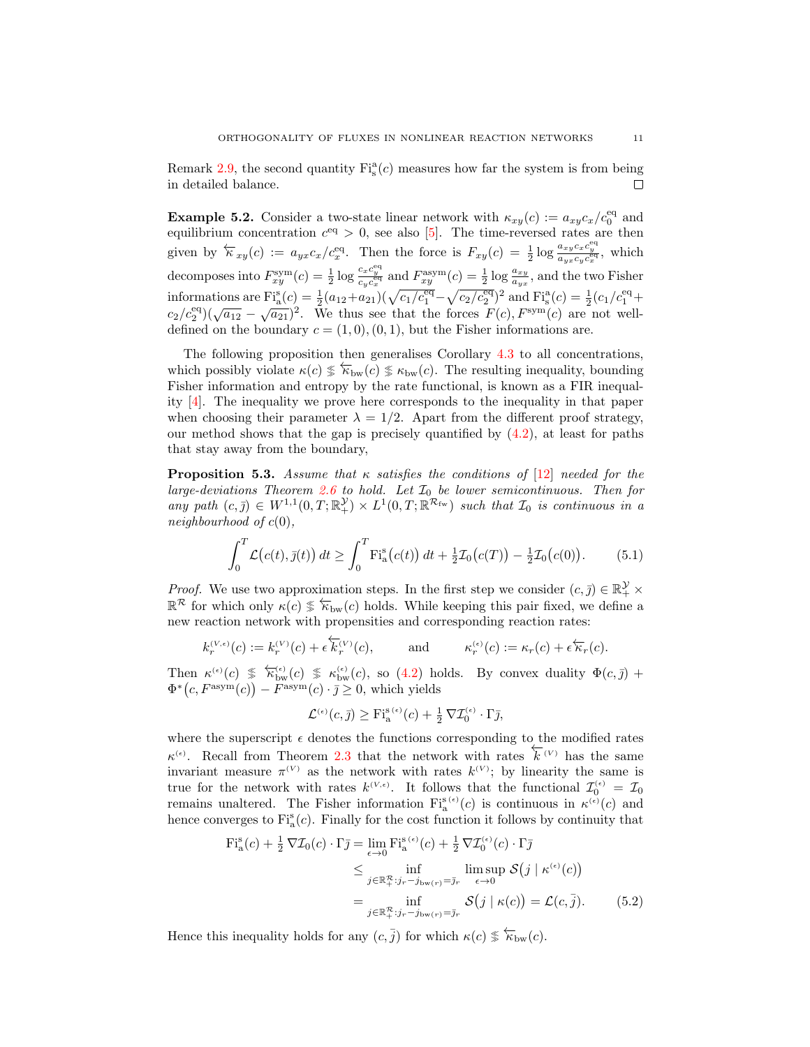Remark [2.9,](#page-5-4) the second quantity  $Fi_s^a(c)$  measures how far the system is from being in detailed balance.

<span id="page-10-0"></span>**Example 5.2.** Consider a two-state linear network with  $\kappa_{xy}(c) := a_{xy}c_x/c_0^{\text{eq}}$  and equilibrium concentration  $c^{eq} > 0$ , see also [\[5\]](#page-12-1). The time-reversed rates are then given by  $\overleftarrow{\kappa}_{xy}(c) := a_{yx}c_x/c_x^{\text{eq}}$ . Then the force is  $F_{xy}(c) = \frac{1}{2}\log \frac{a_{xy}c_xc_y^{\text{eq}}}{a_{yx}c_yc_x^{\text{eq}}}$ , which decomposes into  $F_{xy}^{\text{sym}}(c) = \frac{1}{2} \log \frac{c_x c_y^{\text{eq}}}{c_y c_x^{\text{eq}}}$  and  $F_{xy}^{\text{asym}}(c) = \frac{1}{2} \log \frac{a_{xy}}{a_{yx}}$ , and the two Fisher informations are  $\text{Fi}_{a}^{\text{s}}(c) = \frac{1}{2}(a_{12}+a_{21})(\sqrt{c_1/c_1^{\text{eq}}} - \sqrt{c_2/c_2^{\text{eq}}})^2$  and  $\text{Fi}_{s}^{\text{a}}(c) = \frac{1}{2}(c_1/c_1^{\text{eq}} +$ mormations are  $\Gamma_{\text{a}}(c) = 2 \left(\frac{a_{12} + a_{21}}{V}\right) \left(\sqrt{c_1/c_1} - \sqrt{c_2/c_2}\right)$  and  $\Gamma_{\text{s}}(c) = 2 \left(\frac{c_1}{c_1} + \frac{c_2}{c_2}\right) \left(\sqrt{a_{12}} - \sqrt{a_{21}}\right)^2$ . We thus see that the forces  $F(c)$ ,  $F^{\text{sym}}(c)$  are not welldefined on the boundary  $c = (1, 0), (0, 1)$ , but the Fisher informations are.

The following proposition then generalises Corollary [4.3](#page-9-3) to all concentrations, which possibly violate  $\kappa(c) \leqslant \kappa_{bw}(c) \leqslant \kappa_{bw}(c)$ . The resulting inequality, bounding Fisher information and entropy by the rate functional, is known as a FIR inequality [\[4\]](#page-12-14). The inequality we prove here corresponds to the inequality in that paper when choosing their parameter  $\lambda = 1/2$ . Apart from the different proof strategy, our method shows that the gap is precisely quantified by  $(4.2)$ , at least for paths that stay away from the boundary,

<span id="page-10-3"></span>**Proposition 5.3.** Assume that  $\kappa$  satisfies the conditions of [\[12\]](#page-12-2) needed for the large-deviations Theorem [2.6](#page-4-2) to hold. Let  $\mathcal{I}_0$  be lower semicontinuous. Then for any path  $(c, \bar{j}) \in W^{1,1}(0,T;\mathbb{R}^{\mathcal{Y}}) \times L^1(0,T;\mathbb{R}^{\mathcal{R}_{\text{fw}}})$  such that  $\mathcal{I}_0$  is continuous in a neighbourhood of  $c(0)$ ,

<span id="page-10-2"></span>
$$
\int_0^T \mathcal{L}(c(t), \bar{j}(t)) dt \ge \int_0^T \mathrm{Fi}_{\mathrm{a}}^{\mathrm{s}}(c(t)) dt + \frac{1}{2} \mathcal{I}_0(c(T)) - \frac{1}{2} \mathcal{I}_0(c(0)). \tag{5.1}
$$

*Proof.* We use two approximation steps. In the first step we consider  $(c, \bar{j}) \in \mathbb{R}_+^{\mathcal{Y}} \times$  $\mathbb{R}^{\mathcal{R}}$  for which only  $\kappa(c) \leq \overleftarrow{\kappa}_{bw}(c)$  holds. While keeping this pair fixed, we define a new reaction network with propensities and corresponding reaction rates:

$$
k^{(V,\epsilon)}_r(c):=k^{(V)}_r(c)+\epsilon\overleftarrow{k}^{(V)}_r(c),\qquad\text{ and }\qquad \kappa^{(\epsilon)}_r(c):=\kappa_r(c)+\epsilon\overleftarrow{\kappa}_r(c).
$$

Then  $\kappa^{(\epsilon)}(c) \leq \kappa_{\text{bw}}^{(\epsilon)}(c) \leq \kappa_{\text{bw}}^{(\epsilon)}(c)$ , so [\(4.2\)](#page-9-1) holds. By convex duality  $\Phi(c,\bar{y})$  +  $\Phi^*(c, F^{\text{asym}}(c)) - F^{\text{asym}}(c) \cdot \bar{\jmath} \geq 0$ , which yields

<span id="page-10-1"></span>
$$
\mathcal{L}^{(\epsilon)}(c,\bar{J}) \geq \mathrm{Fi}_{\mathrm{a}}^{\mathrm{s}(\epsilon)}(c) + \frac{1}{2}\,\nabla \mathcal{I}_0^{(\epsilon)} \cdot \Gamma \bar{\jmath},
$$

where the superscript  $\epsilon$  denotes the functions corresponding to the modified rates where the superscript c denotes the ranchesis corresponding to the modified rates  $\kappa^{(k)}$ . Recall from Theorem [2.3](#page-3-0) that the network with rates  $\kappa^{(V)}$  has the same invariant measure  $\pi^{(V)}$  as the network with rates  $k^{(V)}$ ; by linearity the same is true for the network with rates  $k^{(V,\epsilon)}$ . It follows that the functional  $\mathcal{I}_0^{(\epsilon)} = \mathcal{I}_0$ remains unaltered. The Fisher information  $\mathrm{Fi}_{a}^{\mathrm{s}(\epsilon)}(c)$  is continuous in  $\kappa^{(\epsilon)}(c)$  and hence converges to  $\text{Fi}_{a}^{s}(c)$ . Finally for the cost function it follows by continuity that

$$
\begin{split} \mathrm{Fi}_{\mathrm{a}}^{\mathrm{s}}(c) + \frac{1}{2} \nabla \mathcal{I}_{0}(c) \cdot \Gamma \bar{\jmath} &= \lim_{\epsilon \to 0} \mathrm{Fi}_{\mathrm{a}}^{\mathrm{s}(\epsilon)}(c) + \frac{1}{2} \nabla \mathcal{I}_{0}^{(\epsilon)}(c) \cdot \Gamma \bar{\jmath} \\ &\leq \inf_{j \in \mathbb{R}_{+}^{\mathcal{R}}: j_{r} - j_{\mathrm{bw}(r)} = \bar{\jmath}_{r}} \limsup_{\epsilon \to 0} \mathcal{S}\big(j \mid \kappa^{(\epsilon)}(c)\big) \\ &= \inf_{j \in \mathbb{R}_{+}^{\mathcal{R}}: j_{r} - j_{\mathrm{bw}(r)} = \bar{\jmath}_{r}} \mathcal{S}\big(j \mid \kappa(c)\big) = \mathcal{L}(c, \bar{j}). \end{split} \tag{5.2}
$$

Hence this inequality holds for any  $(c, \overline{j})$  for which  $\kappa(c) \leq \overleftarrow{\kappa}_{bw}(c)$ .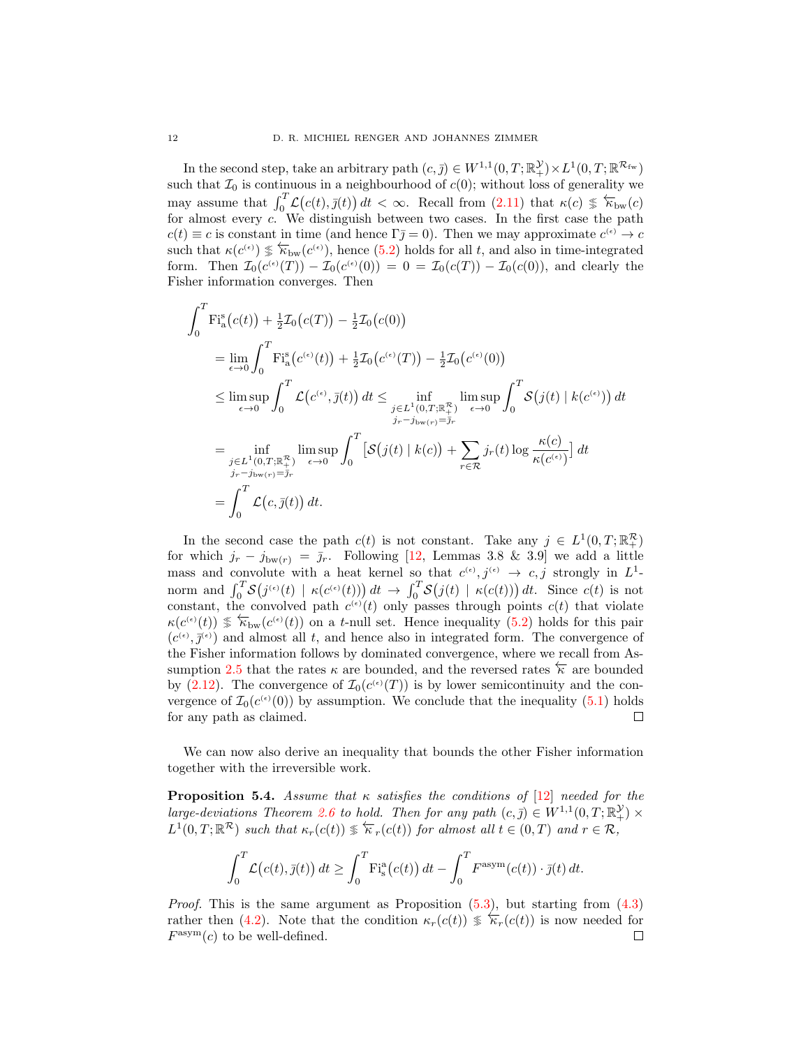In the second step, take an arbitrary path  $(c, \bar{j}) \in W^{1,1}(0,T; \mathbb{R}^{\mathcal{Y}}_+) \times L^1(0,T; \mathbb{R}^{\mathcal{R}_{\text{fw}}})$ such that  $\mathcal{I}_0$  is continuous in a neighbourhood of  $c(0)$ ; without loss of generality we may assume that  $\int_0^T \mathcal{L}(c(t), \bar{y}(t)) dt < \infty$ . Recall from [\(2.11\)](#page-5-3) that  $\kappa(c) \leq \overleftarrow{\kappa}_{bw}(c)$ for almost every c. We distinguish between two cases. In the first case the path  $c(t) \equiv c$  is constant in time (and hence  $\Gamma \bar{j} = 0$ ). Then we may approximate  $c^{(\epsilon)} \to c$ such that  $\kappa(c^{(\epsilon)}) \leq \overline{\kappa}_{bw}(c^{(\epsilon)})$ , hence [\(5.2\)](#page-10-1) holds for all t, and also in time-integrated form. Then  $\mathcal{I}_0(c^{(\epsilon)}(T)) - \mathcal{I}_0(c^{(\epsilon)}(0)) = 0 = \mathcal{I}_0(c(T)) - \mathcal{I}_0(c(0))$ , and clearly the Fisher information converges. Then

$$
\int_{0}^{T} \mathrm{Fi}_{\mathrm{a}}^{s}(c(t)) + \frac{1}{2}\mathcal{I}_{0}(c(T)) - \frac{1}{2}\mathcal{I}_{0}(c(0))
$$
\n
$$
= \lim_{\epsilon \to 0} \int_{0}^{T} \mathrm{Fi}_{\mathrm{a}}^{s}(c^{(\epsilon)}(t)) + \frac{1}{2}\mathcal{I}_{0}(c^{(\epsilon)}(T)) - \frac{1}{2}\mathcal{I}_{0}(c^{(\epsilon)}(0))
$$
\n
$$
\leq \limsup_{\epsilon \to 0} \int_{0}^{T} \mathcal{L}(c^{(\epsilon)}, \bar{\jmath}(t)) dt \leq \inf_{\substack{j \in L^{1}(0,T; \mathbb{R}_{+}^{T}) \\ j_{r}-j_{\mathrm{bw}(r)} = \bar{j}_{r}}} \limsup_{\epsilon \to 0} \int_{0}^{T} \mathcal{S}(j(t) | k(c^{\epsilon})) dt
$$
\n
$$
= \inf_{\substack{j \in L^{1}(0,T; \mathbb{R}_{+}^{T}) \\ j_{r}-j_{\mathrm{bw}(r)} = \bar{j}_{r}}} \limsup_{\epsilon \to 0} \int_{0}^{T} \left[ \mathcal{S}(j(t) | k(c)) + \sum_{r \in \mathcal{R}} j_{r}(t) \log \frac{\kappa(c)}{\kappa(c^{(\epsilon)})} \right] dt
$$
\n
$$
= \int_{0}^{T} \mathcal{L}(c, \bar{\jmath}(t)) dt.
$$

In the second case the path  $c(t)$  is not constant. Take any  $j \in L^1(0,T;\mathbb{R}^{\mathcal{R}}_+)$ for which  $j_r - j_{bw(r)} = \bar{j}_r$ . Following [\[12,](#page-12-2) Lemmas 3.8 & 3.9] we add a little mass and convolute with a heat kernel so that  $c^{(\epsilon)}, j^{(\epsilon)} \to c, j$  strongly in  $L^1$ norm and  $\int_0^T S(j^{(\epsilon)}(t) | \kappa(c^{(\epsilon)}(t))) dt \rightarrow \int_0^T S(j(t) | \kappa(c(t))) dt$ . Since  $c(t)$  is not constant, the convolved path  $c^{(\epsilon)}(t)$  only passes through points  $c(t)$  that violate  $\kappa(c^{(\epsilon)}(t)) \leq \overleftarrow{\kappa}_{bw}(c^{(\epsilon)}(t))$  on a t-null set. Hence inequality [\(5.2\)](#page-10-1) holds for this pair  $(c^{(\epsilon)}, \bar{j}^{(\epsilon)})$  and almost all t, and hence also in integrated form. The convergence of the Fisher information follows by dominated convergence, where we recall from As-sumption [2.5](#page-4-3) that the rates  $\kappa$  are bounded, and the reversed rates  $\overleftarrow{\kappa}$  are bounded by [\(2.12\)](#page-5-7). The convergence of  $\mathcal{I}_0(c^{(\epsilon)}(T))$  is by lower semicontinuity and the convergence of  $\mathcal{I}_0(c^{(\epsilon)}(0))$  by assumption. We conclude that the inequality [\(5.1\)](#page-10-2) holds for any path as claimed. П

We can now also derive an inequality that bounds the other Fisher information together with the irreversible work.

**Proposition 5.4.** Assume that  $\kappa$  satisfies the conditions of [\[12\]](#page-12-2) needed for the large-deviations Theorem [2.6](#page-4-2) to hold. Then for any path  $(c, \bar{j}) \in W^{1,1}(0,T;\mathbb{R}^{\mathcal{Y}}_{+}) \times$  $L^1(0,T;\mathbb{R}^{\mathcal{R}})$  such that  $\kappa_r(c(t)) \leq \overleftarrow{\kappa}_r(c(t))$  for almost all  $t \in (0,T)$  and  $r \in \mathcal{R}$ ,

$$
\int_0^T \mathcal{L}(c(t), \bar{y}(t)) dt \ge \int_0^T \mathrm{Fi}_s^{\rm a}(c(t)) dt - \int_0^T F^{\rm asym}(c(t)) \cdot \bar{y}(t) dt.
$$

*Proof.* This is the same argument as Proposition  $(5.3)$ , but starting from  $(4.3)$ rather then [\(4.2\)](#page-9-1). Note that the condition  $\kappa_r(c(t)) \leq \overline{\kappa_r}(c(t))$  is now needed for  $F^{\text{asym}}(c)$  to be well-defined.  $\Box$